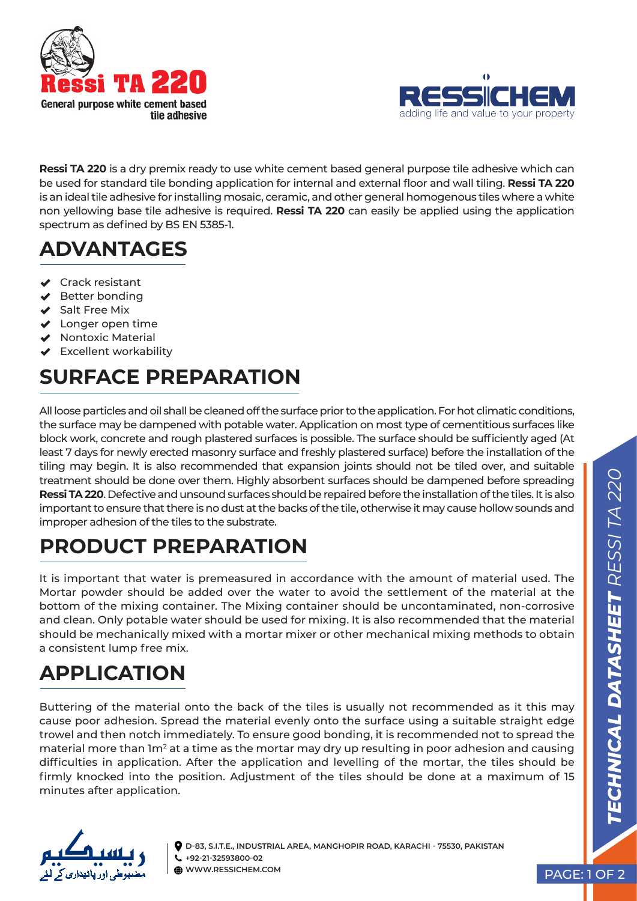



**Ressi TA 220** is a dry premix ready to use white cement based general purpose tile adhesive which can be used for standard tile bonding application for internal and external floor and wall tiling. **Ressi TA 220**  is an ideal tile adhesive for installing mosaic, ceramic, and other general homogenous tiles where a white non yellowing base tile adhesive is required. **Ressi TA 220** can easily be applied using the application spectrum as defined by BS EN 5385-1.

## **ADVANTAGES**

- **◆** Crack resistant
- $\blacktriangleright$  Better bonding
- ◆ Salt Free Mix
- $\vee$  Longer open time
- $\vee$  Nontoxic Material
- Excellent workability

# **SURFACE PREPARATION**

All loose particles and oil shall be cleaned off the surface prior to the application. For hot climatic conditions, the surface may be dampened with potable water. Application on most type of cementitious surfaces like block work, concrete and rough plastered surfaces is possible. The surface should be sufficiently aged (At least 7 days for newly erected masonry surface and freshly plastered surface) before the installation of the tiling may begin. It is also recommended that expansion joints should not be tiled over, and suitable treatment should be done over them. Highly absorbent surfaces should be dampened before spreading **Ressi TA 220**. Defective and unsound surfaces should be repaired before the installation of the tiles. It is also important to ensure that there is no dust at the backs of the tile, otherwise it may cause hollow sounds and improper adhesion of the tiles to the substrate.

## **PRODUCT PREPARATION**

It is important that water is premeasured in accordance with the amount of material used. The Mortar powder should be added over the water to avoid the settlement of the material at the bottom of the mixing container. The Mixing container should be uncontaminated, non-corrosive and clean. Only potable water should be used for mixing. It is also recommended that the material should be mechanically mixed with a mortar mixer or other mechanical mixing methods to obtain a consistent lump free mix.

# **APPLICATION**

Buttering of the material onto the back of the tiles is usually not recommended as it this may cause poor adhesion. Spread the material evenly onto the surface using a suitable straight edge trowel and then notch immediately. To ensure good bonding, it is recommended not to spread the material more than 1m<sup>2</sup> at a time as the mortar may dry up resulting in poor adhesion and causing difficulties in application. After the application and levelling of the mortar, the tiles should be firmly knocked into the position. Adjustment of the tiles should be done at a maximum of 15 minutes after application.



**D-83, S.I.T.E., INDUSTRIAL AREA, MANGHOPIR ROAD, KARACHI - 75530, PAKISTAN +92-21-32593800-02 WWW.RESSICHEM.COM** PAGE: 1 OF 2